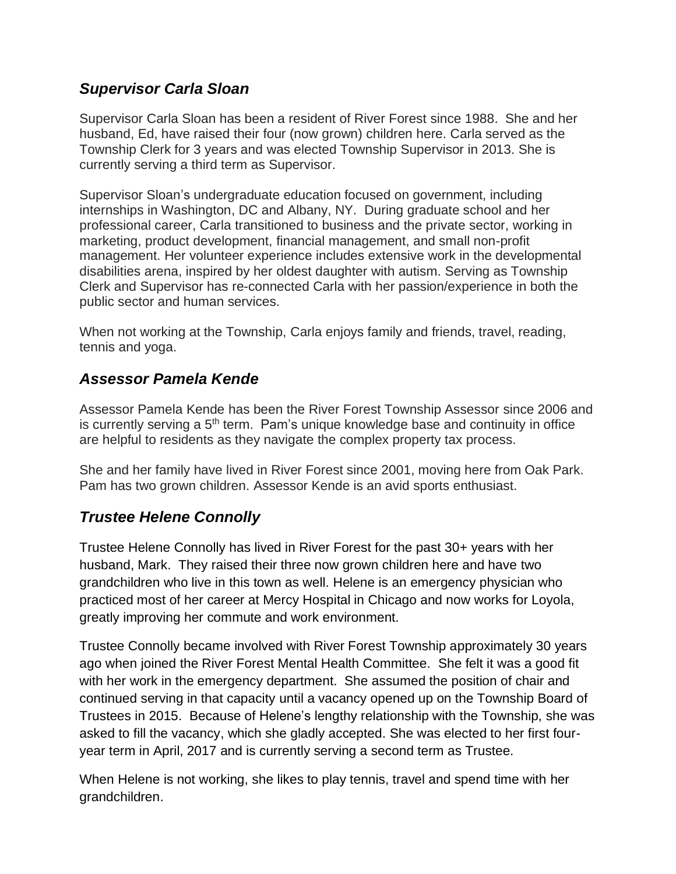### *Supervisor Carla Sloan*

Supervisor Carla Sloan has been a resident of River Forest since 1988. She and her husband, Ed, have raised their four (now grown) children here. Carla served as the Township Clerk for 3 years and was elected Township Supervisor in 2013. She is currently serving a third term as Supervisor.

Supervisor Sloan's undergraduate education focused on government, including internships in Washington, DC and Albany, NY. During graduate school and her professional career, Carla transitioned to business and the private sector, working in marketing, product development, financial management, and small non-profit management. Her volunteer experience includes extensive work in the developmental disabilities arena, inspired by her oldest daughter with autism. Serving as Township Clerk and Supervisor has re-connected Carla with her passion/experience in both the public sector and human services.

When not working at the Township, Carla enjoys family and friends, travel, reading, tennis and yoga.

## *Assessor Pamela Kende*

Assessor Pamela Kende has been the River Forest Township Assessor since 2006 and is currently serving a  $5<sup>th</sup>$  term. Pam's unique knowledge base and continuity in office are helpful to residents as they navigate the complex property tax process.

She and her family have lived in River Forest since 2001, moving here from Oak Park. Pam has two grown children. Assessor Kende is an avid sports enthusiast.

# *Trustee Helene Connolly*

Trustee Helene Connolly has lived in River Forest for the past 30+ years with her husband, Mark. They raised their three now grown children here and have two grandchildren who live in this town as well. Helene is an emergency physician who practiced most of her career at Mercy Hospital in Chicago and now works for Loyola, greatly improving her commute and work environment.

Trustee Connolly became involved with River Forest Township approximately 30 years ago when joined the River Forest Mental Health Committee. She felt it was a good fit with her work in the emergency department. She assumed the position of chair and continued serving in that capacity until a vacancy opened up on the Township Board of Trustees in 2015. Because of Helene's lengthy relationship with the Township, she was asked to fill the vacancy, which she gladly accepted. She was elected to her first fouryear term in April, 2017 and is currently serving a second term as Trustee.

When Helene is not working, she likes to play tennis, travel and spend time with her grandchildren.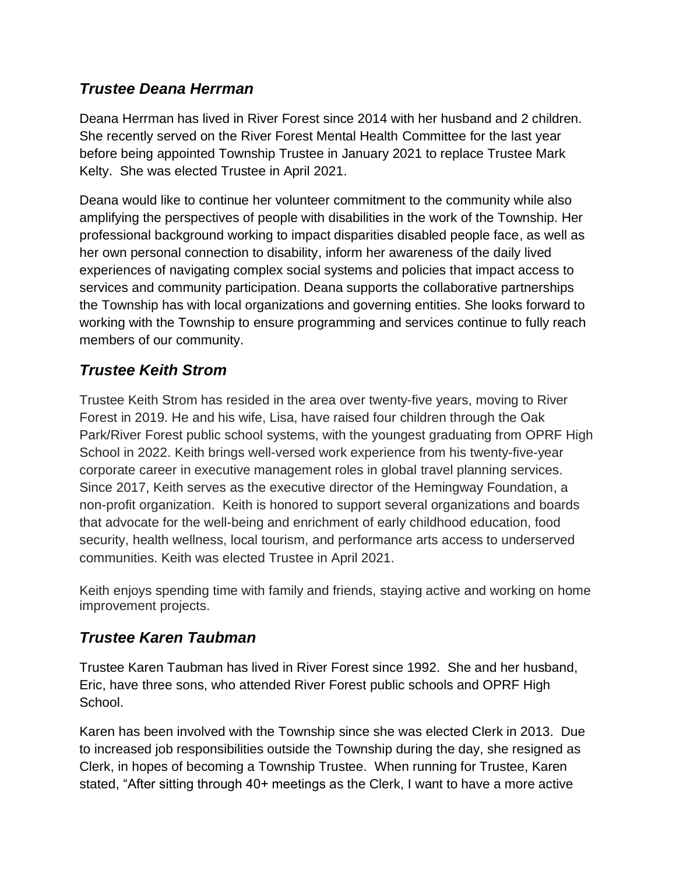## *Trustee Deana Herrman*

Deana Herrman has lived in River Forest since 2014 with her husband and 2 children. She recently served on the River Forest Mental Health Committee for the last year before being appointed Township Trustee in January 2021 to replace Trustee Mark Kelty. She was elected Trustee in April 2021.

Deana would like to continue her volunteer commitment to the community while also amplifying the perspectives of people with disabilities in the work of the Township. Her professional background working to impact disparities disabled people face, as well as her own personal connection to disability, inform her awareness of the daily lived experiences of navigating complex social systems and policies that impact access to services and community participation. Deana supports the collaborative partnerships the Township has with local organizations and governing entities. She looks forward to working with the Township to ensure programming and services continue to fully reach members of our community.

## *Trustee Keith Strom*

Trustee Keith Strom has resided in the area over twenty-five years, moving to River Forest in 2019. He and his wife, Lisa, have raised four children through the Oak Park/River Forest public school systems, with the youngest graduating from OPRF High School in 2022. Keith brings well-versed work experience from his twenty-five-year corporate career in executive management roles in global travel planning services. Since 2017, Keith serves as the executive director of the Hemingway Foundation, a non-profit organization. Keith is honored to support several organizations and boards that advocate for the well-being and enrichment of early childhood education, food security, health wellness, local tourism, and performance arts access to underserved communities. Keith was elected Trustee in April 2021.

Keith enjoys spending time with family and friends, staying active and working on home improvement projects.

### *Trustee Karen Taubman*

Trustee Karen Taubman has lived in River Forest since 1992. She and her husband, Eric, have three sons, who attended River Forest public schools and OPRF High School.

Karen has been involved with the Township since she was elected Clerk in 2013. Due to increased job responsibilities outside the Township during the day, she resigned as Clerk, in hopes of becoming a Township Trustee. When running for Trustee, Karen stated, "After sitting through 40+ meetings as the Clerk, I want to have a more active